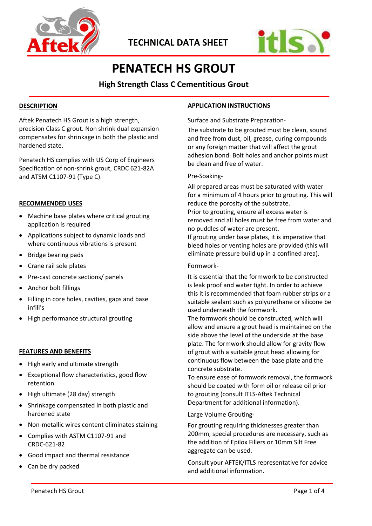



# **PENATECH HS GROUT**

**High Strength Class C Cementitious Grout**

# **DESCRIPTION**

Aftek Penatech HS Grout is a high strength, precision Class C grout. Non shrink dual expansion compensates for shrinkage in both the plastic and hardened state.

Penatech HS complies with US Corp of Engineers Specification of non-shrink grout, CRDC 621-82A and ATSM C1107-91 (Type C).

## **RECOMMENDED USES**

- Machine base plates where critical grouting application is required
- Applications subject to dynamic loads and where continuous vibrations is present
- Bridge bearing pads
- Crane rail sole plates
- Pre-cast concrete sections/ panels
- Anchor bolt fillings
- Filling in core holes, cavities, gaps and base infill's
- High performance structural grouting

#### **FEATURES AND BENEFITS**

- High early and ultimate strength
- Exceptional flow characteristics, good flow retention
- High ultimate (28 day) strength
- Shrinkage compensated in both plastic and hardened state
- Non-metallic wires content eliminates staining
- Complies with ASTM C1107-91 and CRDC-621-82
- Good impact and thermal resistance
- Can be dry packed

# **APPLICATION INSTRUCTIONS**

Surface and Substrate Preparation-

The substrate to be grouted must be clean, sound and free from dust, oil, grease, curing compounds or any foreign matter that will affect the grout adhesion bond. Bolt holes and anchor points must be clean and free of water.

## Pre-Soaking-

All prepared areas must be saturated with water for a minimum of 4 hours prior to grouting. This will reduce the porosity of the substrate. Prior to grouting, ensure all excess water is removed and all holes must be free from water and no puddles of water are present. If grouting under base plates, it is imperative that bleed holes or venting holes are provided (this will eliminate pressure build up in a confined area).

#### Formwork-

It is essential that the formwork to be constructed is leak proof and water tight. In order to achieve this it is recommended that foam rubber strips or a suitable sealant such as polyurethane or silicone be used underneath the formwork.

The formwork should be constructed, which will allow and ensure a grout head is maintained on the side above the level of the underside at the base plate. The formwork should allow for gravity flow of grout with a suitable grout head allowing for continuous flow between the base plate and the concrete substrate.

To ensure ease of formwork removal, the formwork should be coated with form oil or release oil prior to grouting (consult ITLS-Aftek Technical Department for additional information).

# Large Volume Grouting-

For grouting requiring thicknesses greater than 200mm, special procedures are necessary, such as the addition of Epilox Fillers or 10mm Silt Free aggregate can be used.

Consult your AFTEK/ITLS representative for advice and additional information.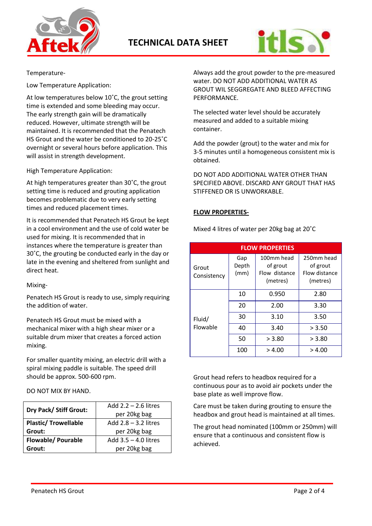



## Temperature-

Low Temperature Application:

At low temperatures below 10˚C, the grout setting time is extended and some bleeding may occur. The early strength gain will be dramatically reduced. However, ultimate strength will be maintained. It is recommended that the Penatech HS Grout and the water be conditioned to 20-25˚C overnight or several hours before application. This will assist in strength development.

## High Temperature Application:

At high temperatures greater than 30˚C, the grout setting time is reduced and grouting application becomes problematic due to very early setting times and reduced placement times.

It is recommended that Penatech HS Grout be kept in a cool environment and the use of cold water be used for mixing. It is recommended that in instances where the temperature is greater than 30˚C, the grouting be conducted early in the day or late in the evening and sheltered from sunlight and direct heat.

Mixing-

Penatech HS Grout is ready to use, simply requiring the addition of water.

Penatech HS Grout must be mixed with a mechanical mixer with a high shear mixer or a suitable drum mixer that creates a forced action mixing.

For smaller quantity mixing, an electric drill with a spiral mixing paddle is suitable. The speed drill should be approx. 500-600 rpm.

DO NOT MIX BY HAND.

|                             | Add $2.2 - 2.6$ litres |  |
|-----------------------------|------------------------|--|
| Dry Pack/ Stiff Grout:      | per 20kg bag           |  |
| <b>Plastic/ Trowellable</b> | Add $2.8 - 3.2$ litres |  |
| Grout:                      | per 20kg bag           |  |
| <b>Flowable/ Pourable</b>   | Add $3.5 - 4.0$ litres |  |
| Grout:                      | per 20kg bag           |  |

Always add the grout powder to the pre-measured water. DO NOT ADD ADDITIONAL WATER AS GROUT WIL SEGGREGATE AND BLEED AFFECTING PERFORMANCE.

The selected water level should be accurately measured and added to a suitable mixing container.

Add the powder (grout) to the water and mix for 3-5 minutes until a homogeneous consistent mix is obtained.

DO NOT ADD ADDITIONAL WATER OTHER THAN SPECIFIED ABOVE. DISCARD ANY GROUT THAT HAS STIFFENED OR IS UNWORKABLE.

# **FLOW PROPERTIES-**

Mixed 4 litres of water per 20kg bag at 20˚C

| <b>FLOW PROPERTIES</b> |                      |                                                     |                                                     |
|------------------------|----------------------|-----------------------------------------------------|-----------------------------------------------------|
| Grout<br>Consistency   | Gap<br>Depth<br>(mm) | 100mm head<br>of grout<br>Flow distance<br>(metres) | 250mm head<br>of grout<br>Flow distance<br>(metres) |
|                        | 10                   | 0.950                                               | 2.80                                                |
|                        | 20                   | 2.00                                                | 3.30                                                |
| Fluid/                 | 30                   | 3.10                                                | 3.50                                                |
| Flowable               | 40                   | 3.40                                                | > 3.50                                              |
|                        | 50                   | > 3.80                                              | > 3.80                                              |
|                        | 100                  | > 4.00                                              | > 4.00                                              |

Grout head refers to headbox required for a continuous pour as to avoid air pockets under the base plate as well improve flow.

Care must be taken during grouting to ensure the headbox and grout head is maintained at all times.

The grout head nominated (100mm or 250mm) will ensure that a continuous and consistent flow is achieved.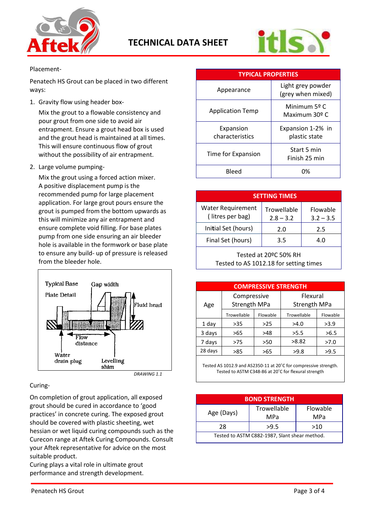



# Placement-

Penatech HS Grout can be placed in two different ways:

1. Gravity flow using header box-

Mix the grout to a flowable consistency and pour grout from one side to avoid air entrapment. Ensure a grout head box is used and the grout head is maintained at all times. This will ensure continuous flow of grout without the possibility of air entrapment.

2. Large volume pumping-

Mix the grout using a forced action mixer. A positive displacement pump is the recommended pump for large placement application. For large grout pours ensure the grout is pumped from the bottom upwards as this will minimize any air entrapment and ensure complete void filling. For base plates pump from one side ensuring an air bleeder hole is available in the formwork or base plate to ensure any build- up of pressure is released from the bleeder hole.



 *DRAWING 1.1*

# Curing-

On completion of grout application, all exposed grout should be cured in accordance to 'good practices' in concrete curing. The exposed grout should be covered with plastic sheeting, wet hessian or wet liquid curing compounds such as the Curecon range at Aftek Curing Compounds. Consult your Aftek representative for advice on the most suitable product.

Curing plays a vital role in ultimate grout performance and strength development.

| <b>TYPICAL PROPERTIES</b>    |                                        |  |  |
|------------------------------|----------------------------------------|--|--|
| Appearance                   | Light grey powder<br>(grey when mixed) |  |  |
| <b>Application Temp</b>      | Minimum 5º C<br>Maximum 30º C          |  |  |
| Expansion<br>characteristics | Expansion 1-2% in<br>plastic state     |  |  |
| Time for Expansion           | Start 5 min<br>Finish 25 min           |  |  |
| Bleed                        | በ%                                     |  |  |

| <b>SETTING TIMES</b>                         |                            |                         |  |
|----------------------------------------------|----------------------------|-------------------------|--|
| <b>Water Requirement</b><br>(litres per bag) | Trowellable<br>$2.8 - 3.2$ | Flowable<br>$3.2 - 3.5$ |  |
| Initial Set (hours)                          | 2.0                        | 2.5                     |  |
| Final Set (hours)                            | 3.5                        | 4.0                     |  |
|                                              |                            |                         |  |

Tested at 20ºC 50% RH Tested to AS 1012.18 for setting times

| <b>COMPRESSIVE STRENGTH</b> |                     |          |                     |          |
|-----------------------------|---------------------|----------|---------------------|----------|
|                             | Compressive         |          | Flexural            |          |
| Age                         | <b>Strength MPa</b> |          | <b>Strength MPa</b> |          |
|                             | Trowellable         | Flowable | Trowellable         | Flowable |
| 1 day                       | >35                 | $>25$    | >4.0                | >3.9     |
| 3 days                      | >65                 | >48      | >5.5                | >6.5     |
| 7 days                      | >75                 | >50      | >8.82               | >7.0     |
| 28 days                     | >85                 | >65      | >9.8                | >9.5     |

Tested AS 1012.9 and AS2350-11 at 20˚C for compressive strength. Tested to ASTM C348-86 at 20˚C for flexural strength

| <b>BOND STRENGTH</b>                          |                    |                 |  |
|-----------------------------------------------|--------------------|-----------------|--|
| Age (Days)                                    | Trowellable<br>MPa | Flowable<br>MPa |  |
| 28                                            | >9.5               | >10             |  |
| Tested to ASTM C882-1987, Slant shear method. |                    |                 |  |